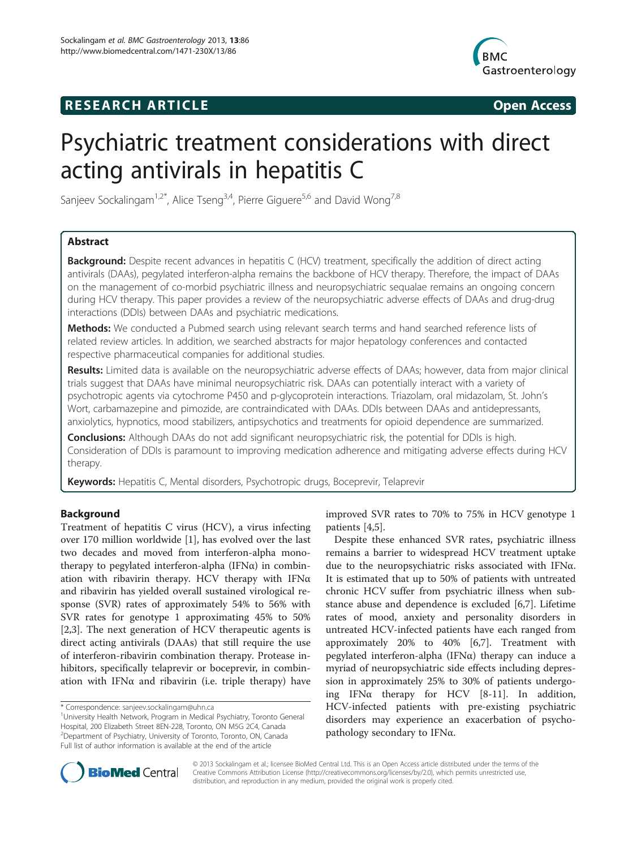# **RESEARCH ARTICLE Example 2014 CONSIDERING CONSIDERING CONSIDERING CONSIDERING CONSIDERING CONSIDERING CONSIDERING CONSIDERING CONSIDERING CONSIDERING CONSIDERING CONSIDERING CONSIDERING CONSIDERING CONSIDERING CONSIDE**



# Psychiatric treatment considerations with direct acting antivirals in hepatitis C

Sanjeev Sockalingam<sup>1,2\*</sup>, Alice Tseng<sup>3,4</sup>, Pierre Giguere<sup>5,6</sup> and David Wong<sup>7,8</sup>

# Abstract

Background: Despite recent advances in hepatitis C (HCV) treatment, specifically the addition of direct acting antivirals (DAAs), pegylated interferon-alpha remains the backbone of HCV therapy. Therefore, the impact of DAAs on the management of co-morbid psychiatric illness and neuropsychiatric sequalae remains an ongoing concern during HCV therapy. This paper provides a review of the neuropsychiatric adverse effects of DAAs and drug-drug interactions (DDIs) between DAAs and psychiatric medications.

Methods: We conducted a Pubmed search using relevant search terms and hand searched reference lists of related review articles. In addition, we searched abstracts for major hepatology conferences and contacted respective pharmaceutical companies for additional studies.

Results: Limited data is available on the neuropsychiatric adverse effects of DAAs; however, data from major clinical trials suggest that DAAs have minimal neuropsychiatric risk. DAAs can potentially interact with a variety of psychotropic agents via cytochrome P450 and p-glycoprotein interactions. Triazolam, oral midazolam, St. John's Wort, carbamazepine and pimozide, are contraindicated with DAAs. DDIs between DAAs and antidepressants, anxiolytics, hypnotics, mood stabilizers, antipsychotics and treatments for opioid dependence are summarized.

**Conclusions:** Although DAAs do not add significant neuropsychiatric risk, the potential for DDIs is high. Consideration of DDIs is paramount to improving medication adherence and mitigating adverse effects during HCV therapy.

Keywords: Hepatitis C, Mental disorders, Psychotropic drugs, Boceprevir, Telaprevir

# Background

Treatment of hepatitis C virus (HCV), a virus infecting over 170 million worldwide [[1\]](#page-7-0), has evolved over the last two decades and moved from interferon-alpha monotherapy to pegylated interferon-alpha (IFN $\alpha$ ) in combination with ribavirin therapy. HCV therapy with  $IFN\alpha$ and ribavirin has yielded overall sustained virological response (SVR) rates of approximately 54% to 56% with SVR rates for genotype 1 approximating 45% to 50% [[2,3\]](#page-7-0). The next generation of HCV therapeutic agents is direct acting antivirals (DAAs) that still require the use of interferon-ribavirin combination therapy. Protease inhibitors, specifically telaprevir or boceprevir, in combination with IFN $\alpha$  and ribavirin (i.e. triple therapy) have

improved SVR rates to 70% to 75% in HCV genotype 1 patients [\[4,5\]](#page-7-0).

Despite these enhanced SVR rates, psychiatric illness remains a barrier to widespread HCV treatment uptake due to the neuropsychiatric risks associated with IFNα. It is estimated that up to 50% of patients with untreated chronic HCV suffer from psychiatric illness when substance abuse and dependence is excluded [\[6,7](#page-7-0)]. Lifetime rates of mood, anxiety and personality disorders in untreated HCV-infected patients have each ranged from approximately 20% to 40% [[6](#page-7-0),[7\]](#page-7-0). Treatment with pegylated interferon-alpha (IFNα) therapy can induce a myriad of neuropsychiatric side effects including depression in approximately 25% to 30% of patients undergoing IFNα therapy for HCV [[8-11](#page-7-0)]. In addition, HCV-infected patients with pre-existing psychiatric disorders may experience an exacerbation of psychopathology secondary to IFNα.



© 2013 Sockalingam et al.; licensee BioMed Central Ltd. This is an Open Access article distributed under the terms of the Creative Commons Attribution License (<http://creativecommons.org/licenses/by/2.0>), which permits unrestricted use, distribution, and reproduction in any medium, provided the original work is properly cited.

<sup>\*</sup> Correspondence: [sanjeev.sockalingam@uhn.ca](mailto:sanjeev.sockalingam@uhn.ca) <sup>1</sup>

University Health Network, Program in Medical Psychiatry, Toronto General Hospital, 200 Elizabeth Street 8EN-228, Toronto, ON M5G 2C4, Canada 2 Department of Psychiatry, University of Toronto, Toronto, ON, Canada Full list of author information is available at the end of the article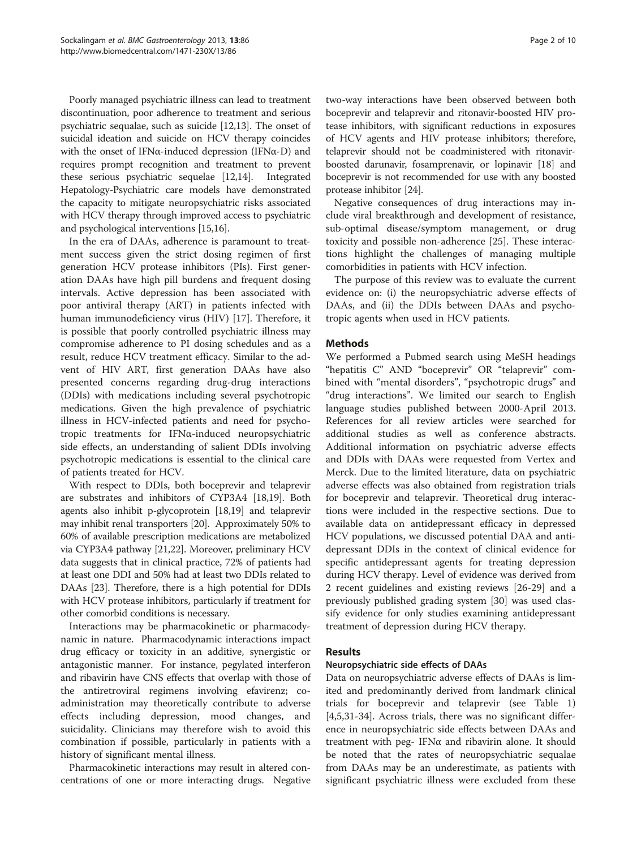Poorly managed psychiatric illness can lead to treatment discontinuation, poor adherence to treatment and serious psychiatric sequalae, such as suicide [\[12,13](#page-7-0)]. The onset of suicidal ideation and suicide on HCV therapy coincides with the onset of IFNα-induced depression (IFNα-D) and requires prompt recognition and treatment to prevent these serious psychiatric sequelae [\[12,14\]](#page-7-0). Integrated Hepatology-Psychiatric care models have demonstrated the capacity to mitigate neuropsychiatric risks associated with HCV therapy through improved access to psychiatric and psychological interventions [\[15,16](#page-7-0)].

In the era of DAAs, adherence is paramount to treatment success given the strict dosing regimen of first generation HCV protease inhibitors (PIs). First generation DAAs have high pill burdens and frequent dosing intervals. Active depression has been associated with poor antiviral therapy (ART) in patients infected with human immunodeficiency virus (HIV) [[17\]](#page-7-0). Therefore, it is possible that poorly controlled psychiatric illness may compromise adherence to PI dosing schedules and as a result, reduce HCV treatment efficacy. Similar to the advent of HIV ART, first generation DAAs have also presented concerns regarding drug-drug interactions (DDIs) with medications including several psychotropic medications. Given the high prevalence of psychiatric illness in HCV-infected patients and need for psychotropic treatments for IFNα-induced neuropsychiatric side effects, an understanding of salient DDIs involving psychotropic medications is essential to the clinical care of patients treated for HCV.

With respect to DDIs, both boceprevir and telaprevir are substrates and inhibitors of CYP3A4 [[18,19\]](#page-7-0). Both agents also inhibit p-glycoprotein [\[18,19](#page-7-0)] and telaprevir may inhibit renal transporters [\[20\]](#page-7-0). Approximately 50% to 60% of available prescription medications are metabolized via CYP3A4 pathway [[21,22\]](#page-7-0). Moreover, preliminary HCV data suggests that in clinical practice, 72% of patients had at least one DDI and 50% had at least two DDIs related to DAAs [\[23\]](#page-7-0). Therefore, there is a high potential for DDIs with HCV protease inhibitors, particularly if treatment for other comorbid conditions is necessary.

Interactions may be pharmacokinetic or pharmacodynamic in nature. Pharmacodynamic interactions impact drug efficacy or toxicity in an additive, synergistic or antagonistic manner. For instance, pegylated interferon and ribavirin have CNS effects that overlap with those of the antiretroviral regimens involving efavirenz; coadministration may theoretically contribute to adverse effects including depression, mood changes, and suicidality. Clinicians may therefore wish to avoid this combination if possible, particularly in patients with a history of significant mental illness.

Pharmacokinetic interactions may result in altered concentrations of one or more interacting drugs. Negative two-way interactions have been observed between both boceprevir and telaprevir and ritonavir-boosted HIV protease inhibitors, with significant reductions in exposures of HCV agents and HIV protease inhibitors; therefore, telaprevir should not be coadministered with ritonavirboosted darunavir, fosamprenavir, or lopinavir [\[18\]](#page-7-0) and boceprevir is not recommended for use with any boosted protease inhibitor [\[24\]](#page-7-0).

Negative consequences of drug interactions may include viral breakthrough and development of resistance, sub-optimal disease/symptom management, or drug toxicity and possible non-adherence [[25](#page-8-0)]. These interactions highlight the challenges of managing multiple comorbidities in patients with HCV infection.

The purpose of this review was to evaluate the current evidence on: (i) the neuropsychiatric adverse effects of DAAs, and (ii) the DDIs between DAAs and psychotropic agents when used in HCV patients.

# **Methods**

We performed a Pubmed search using MeSH headings "hepatitis C" AND "boceprevir" OR "telaprevir" combined with "mental disorders", "psychotropic drugs" and "drug interactions". We limited our search to English language studies published between 2000-April 2013. References for all review articles were searched for additional studies as well as conference abstracts. Additional information on psychiatric adverse effects and DDIs with DAAs were requested from Vertex and Merck. Due to the limited literature, data on psychiatric adverse effects was also obtained from registration trials for boceprevir and telaprevir. Theoretical drug interactions were included in the respective sections. Due to available data on antidepressant efficacy in depressed HCV populations, we discussed potential DAA and antidepressant DDIs in the context of clinical evidence for specific antidepressant agents for treating depression during HCV therapy. Level of evidence was derived from 2 recent guidelines and existing reviews [[26](#page-8-0)-[29\]](#page-8-0) and a previously published grading system [[30\]](#page-8-0) was used classify evidence for only studies examining antidepressant treatment of depression during HCV therapy.

# Results

# Neuropsychiatric side effects of DAAs

Data on neuropsychiatric adverse effects of DAAs is limited and predominantly derived from landmark clinical trials for boceprevir and telaprevir (see Table [1](#page-2-0)) [[4,5,](#page-7-0)[31-34](#page-8-0)]. Across trials, there was no significant difference in neuropsychiatric side effects between DAAs and treatment with peg- IFNα and ribavirin alone. It should be noted that the rates of neuropsychiatric sequalae from DAAs may be an underestimate, as patients with significant psychiatric illness were excluded from these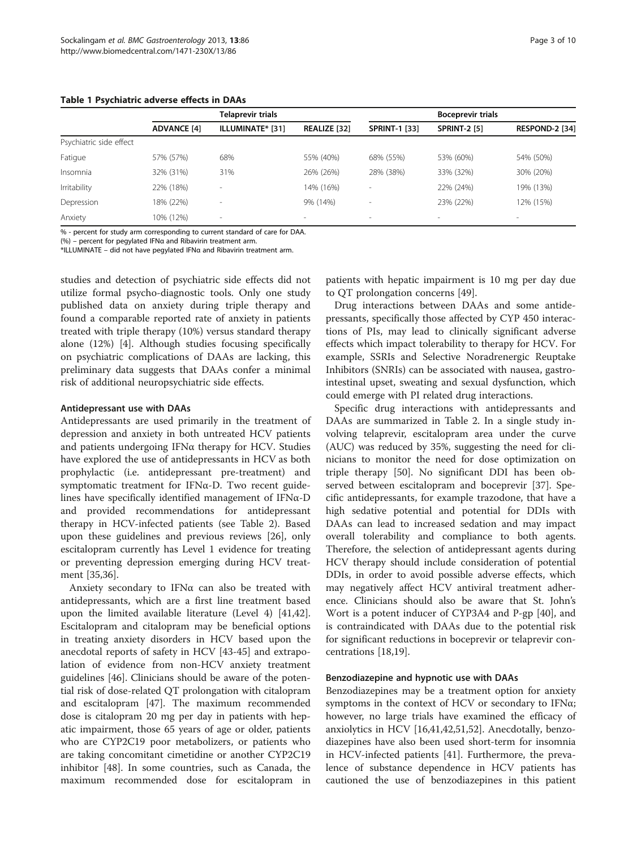<span id="page-2-0"></span>Table 1 Psychiatric adverse effects in DAAs

Psyc

| Table T Psychiatric adverse effects in DAAs |                    |                         |              |                          |                     |                |
|---------------------------------------------|--------------------|-------------------------|--------------|--------------------------|---------------------|----------------|
|                                             | Telaprevir trials  |                         |              | <b>Boceprevir trials</b> |                     |                |
|                                             | <b>ADVANCE [4]</b> | <b>ILLUMINATE*</b> [31] | REALIZE [32] | <b>SPRINT-1 [33]</b>     | <b>SPRINT-2 [5]</b> | RESPOND-2 [34] |
| Psychiatric side effect                     |                    |                         |              |                          |                     |                |
| Fatique                                     | 57% (57%)          | 68%                     | 55% (40%)    | 68% (55%)                | 53% (60%)           | 54% (50%)      |
| Insomnia                                    | 32% (31%)          | 31%                     | 26% (26%)    | 28% (38%)                | 33% (32%)           | 30% (20%)      |
| Irritability                                | 22% (18%)          |                         | 14% (16%)    | ۰                        | 22% (24%)           | 19% (13%)      |
|                                             |                    |                         |              |                          |                     |                |

Depression 18% (22%) - 9% (14%) - 23% (22%) 12% (15%)

Anxiety 10% (12%) - - - - - % - percent for study arm corresponding to current standard of care for DAA.

(%) – percent for pegylated IFNα and Ribavirin treatment arm.

\*ILLUMINATE – did not have pegylated IFNα and Ribavirin treatment arm.

studies and detection of psychiatric side effects did not utilize formal psycho-diagnostic tools. Only one study published data on anxiety during triple therapy and found a comparable reported rate of anxiety in patients treated with triple therapy (10%) versus standard therapy alone (12%) [[4\]](#page-7-0). Although studies focusing specifically on psychiatric complications of DAAs are lacking, this preliminary data suggests that DAAs confer a minimal risk of additional neuropsychiatric side effects.

#### Antidepressant use with DAAs

Antidepressants are used primarily in the treatment of depression and anxiety in both untreated HCV patients and patients undergoing IFN $\alpha$  therapy for HCV. Studies have explored the use of antidepressants in HCV as both prophylactic (i.e. antidepressant pre-treatment) and symptomatic treatment for IFNα-D. Two recent guidelines have specifically identified management of IFNα-D and provided recommendations for antidepressant therapy in HCV-infected patients (see Table [2](#page-3-0)). Based upon these guidelines and previous reviews [[26\]](#page-8-0), only escitalopram currently has Level 1 evidence for treating or preventing depression emerging during HCV treatment [[35,36\]](#page-8-0).

Anxiety secondary to IFNα can also be treated with antidepressants, which are a first line treatment based upon the limited available literature (Level 4) [\[41,42](#page-8-0)]. Escitalopram and citalopram may be beneficial options in treating anxiety disorders in HCV based upon the anecdotal reports of safety in HCV [\[43-45](#page-8-0)] and extrapolation of evidence from non-HCV anxiety treatment guidelines [\[46\]](#page-8-0). Clinicians should be aware of the potential risk of dose-related QT prolongation with citalopram and escitalopram [[47](#page-8-0)]. The maximum recommended dose is citalopram 20 mg per day in patients with hepatic impairment, those 65 years of age or older, patients who are CYP2C19 poor metabolizers, or patients who are taking concomitant cimetidine or another CYP2C19 inhibitor [[48\]](#page-8-0). In some countries, such as Canada, the maximum recommended dose for escitalopram in

patients with hepatic impairment is 10 mg per day due to QT prolongation concerns [\[49](#page-8-0)].

Drug interactions between DAAs and some antidepressants, specifically those affected by CYP 450 interactions of PIs, may lead to clinically significant adverse effects which impact tolerability to therapy for HCV. For example, SSRIs and Selective Noradrenergic Reuptake Inhibitors (SNRIs) can be associated with nausea, gastrointestinal upset, sweating and sexual dysfunction, which could emerge with PI related drug interactions.

Specific drug interactions with antidepressants and DAAs are summarized in Table [2.](#page-3-0) In a single study involving telaprevir, escitalopram area under the curve (AUC) was reduced by 35%, suggesting the need for clinicians to monitor the need for dose optimization on triple therapy [\[50](#page-8-0)]. No significant DDI has been observed between escitalopram and boceprevir [[37\]](#page-8-0). Specific antidepressants, for example trazodone, that have a high sedative potential and potential for DDIs with DAAs can lead to increased sedation and may impact overall tolerability and compliance to both agents. Therefore, the selection of antidepressant agents during HCV therapy should include consideration of potential DDIs, in order to avoid possible adverse effects, which may negatively affect HCV antiviral treatment adherence. Clinicians should also be aware that St. John's Wort is a potent inducer of CYP3A4 and P-gp [\[40\]](#page-8-0), and is contraindicated with DAAs due to the potential risk for significant reductions in boceprevir or telaprevir concentrations [\[18,19](#page-7-0)].

#### Benzodiazepine and hypnotic use with DAAs

Benzodiazepines may be a treatment option for anxiety symptoms in the context of HCV or secondary to IFNα; however, no large trials have examined the efficacy of anxiolytics in HCV [\[16](#page-7-0)[,41,42,51,52\]](#page-8-0). Anecdotally, benzodiazepines have also been used short-term for insomnia in HCV-infected patients [[41\]](#page-8-0). Furthermore, the prevalence of substance dependence in HCV patients has cautioned the use of benzodiazepines in this patient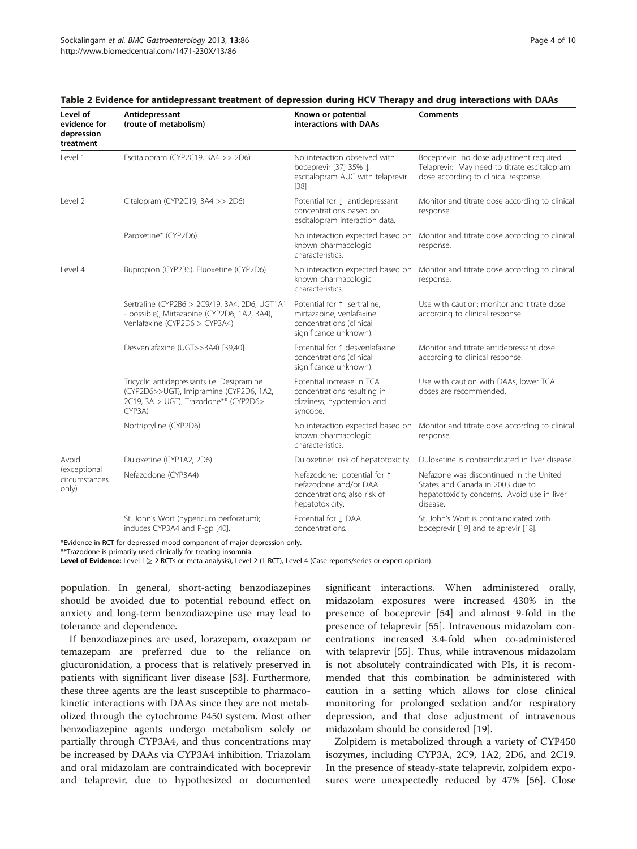| Level of<br>evidence for<br>depression<br>treatment | Antidepressant<br>(route of metabolism)                                                                                                  | Known or potential<br>interactions with DAAs                                                                           | <b>Comments</b>                                                                                                                        |
|-----------------------------------------------------|------------------------------------------------------------------------------------------------------------------------------------------|------------------------------------------------------------------------------------------------------------------------|----------------------------------------------------------------------------------------------------------------------------------------|
| Level 1                                             | Escitalopram (CYP2C19, 3A4 >> 2D6)                                                                                                       | No interaction observed with<br>boceprevir [37] 35% J<br>escitalopram AUC with telaprevir<br>$[38]$                    | Boceprevir: no dose adjustment required.<br>Telaprevir: May need to titrate escitalopram<br>dose according to clinical response.       |
| Level 2                                             | Citalopram (CYP2C19, 3A4 >> 2D6)                                                                                                         | Potential for L antidepressant<br>concentrations based on<br>escitalopram interaction data.                            | Monitor and titrate dose according to clinical<br>response.                                                                            |
|                                                     | Paroxetine* (CYP2D6)                                                                                                                     | No interaction expected based on<br>known pharmacologic<br>characteristics.                                            | Monitor and titrate dose according to clinical<br>response.                                                                            |
| Level 4                                             | Bupropion (CYP2B6), Fluoxetine (CYP2D6)                                                                                                  | No interaction expected based on<br>known pharmacologic<br>characteristics.                                            | Monitor and titrate dose according to clinical<br>response.                                                                            |
|                                                     | Sertraline (CYP2B6 > 2C9/19, 3A4, 2D6, UGT1A1<br>- possible), Mirtazapine (CYP2D6, 1A2, 3A4),<br>Venlafaxine (CYP2D6 > CYP3A4)           | Potential for $\uparrow$ sertraline,<br>mirtazapine, venlafaxine<br>concentrations (clinical<br>significance unknown). | Use with caution: monitor and titrate dose<br>according to clinical response.                                                          |
|                                                     | Desvenlafaxine (UGT>>3A4) [39,40]                                                                                                        | Potential for ↑ desvenlafaxine<br>concentrations (clinical<br>significance unknown).                                   | Monitor and titrate antidepressant dose<br>according to clinical response.                                                             |
|                                                     | Tricyclic antidepressants i.e. Desipramine<br>(CYP2D6>>UGT), Imipramine (CYP2D6, 1A2,<br>2C19, 3A > UGT), Trazodone** (CYP2D6><br>CYP3A) | Potential increase in TCA<br>concentrations resulting in<br>dizziness, hypotension and<br>syncope.                     | Use with caution with DAAs, lower TCA<br>doses are recommended.                                                                        |
|                                                     | Nortriptyline (CYP2D6)                                                                                                                   | known pharmacologic<br>characteristics.                                                                                | No interaction expected based on Monitor and titrate dose according to clinical<br>response.                                           |
| Avoid<br>(exceptional<br>circumstances<br>only)     | Duloxetine (CYP1A2, 2D6)                                                                                                                 | Duloxetine: risk of hepatotoxicity.                                                                                    | Duloxetine is contraindicated in liver disease.                                                                                        |
|                                                     | Nefazodone (CYP3A4)                                                                                                                      | Nefazodone: potential for 1<br>nefazodone and/or DAA<br>concentrations; also risk of<br>hepatotoxicity.                | Nefazone was discontinued in the United<br>States and Canada in 2003 due to<br>hepatotoxicity concerns. Avoid use in liver<br>disease. |
|                                                     | St. John's Wort (hypericum perforatum);<br>induces CYP3A4 and P-qp [40].                                                                 | Potential for J DAA<br>concentrations.                                                                                 | St. John's Wort is contraindicated with<br>boceprevir [19] and telaprevir [18].                                                        |

#### <span id="page-3-0"></span>Table 2 Evidence for antidepressant treatment of depression during HCV Therapy and drug interactions with DAAs

\*Evidence in RCT for depressed mood component of major depression only.

\*\*Trazodone is primarily used clinically for treating insomnia.

Level of Evidence: Level I (≥ 2 RCTs or meta-analysis), Level 2 (1 RCT), Level 4 (Case reports/series or expert opinion).

population. In general, short-acting benzodiazepines should be avoided due to potential rebound effect on anxiety and long-term benzodiazepine use may lead to tolerance and dependence.

If benzodiazepines are used, lorazepam, oxazepam or temazepam are preferred due to the reliance on glucuronidation, a process that is relatively preserved in patients with significant liver disease [\[53](#page-8-0)]. Furthermore, these three agents are the least susceptible to pharmacokinetic interactions with DAAs since they are not metabolized through the cytochrome P450 system. Most other benzodiazepine agents undergo metabolism solely or partially through CYP3A4, and thus concentrations may be increased by DAAs via CYP3A4 inhibition. Triazolam and oral midazolam are contraindicated with boceprevir and telaprevir, due to hypothesized or documented

significant interactions. When administered orally, midazolam exposures were increased 430% in the presence of boceprevir [\[54](#page-8-0)] and almost 9-fold in the presence of telaprevir [[55\]](#page-8-0). Intravenous midazolam concentrations increased 3.4-fold when co-administered with telaprevir [[55](#page-8-0)]. Thus, while intravenous midazolam is not absolutely contraindicated with PIs, it is recommended that this combination be administered with caution in a setting which allows for close clinical monitoring for prolonged sedation and/or respiratory depression, and that dose adjustment of intravenous midazolam should be considered [[19](#page-7-0)].

Zolpidem is metabolized through a variety of CYP450 isozymes, including CYP3A, 2C9, 1A2, 2D6, and 2C19. In the presence of steady-state telaprevir, zolpidem exposures were unexpectedly reduced by 47% [\[56](#page-8-0)]. Close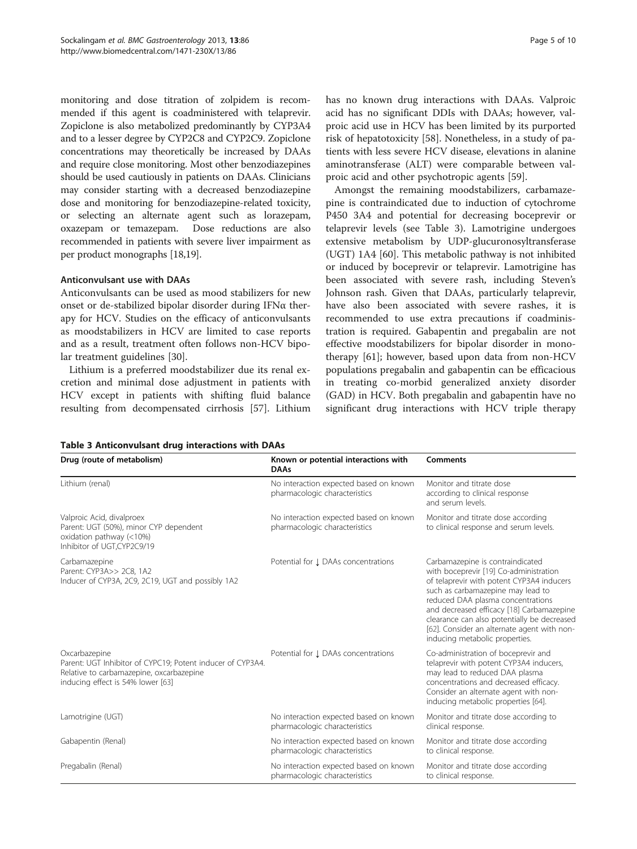<span id="page-4-0"></span>monitoring and dose titration of zolpidem is recommended if this agent is coadministered with telaprevir. Zopiclone is also metabolized predominantly by CYP3A4 and to a lesser degree by CYP2C8 and CYP2C9. Zopiclone concentrations may theoretically be increased by DAAs and require close monitoring. Most other benzodiazepines should be used cautiously in patients on DAAs. Clinicians may consider starting with a decreased benzodiazepine dose and monitoring for benzodiazepine-related toxicity, or selecting an alternate agent such as lorazepam, oxazepam or temazepam. Dose reductions are also recommended in patients with severe liver impairment as per product monographs [\[18,19](#page-7-0)].

#### Anticonvulsant use with DAAs

Anticonvulsants can be used as mood stabilizers for new onset or de-stabilized bipolar disorder during IFNα therapy for HCV. Studies on the efficacy of anticonvulsants as moodstabilizers in HCV are limited to case reports and as a result, treatment often follows non-HCV bipolar treatment guidelines [\[30](#page-8-0)].

Lithium is a preferred moodstabilizer due its renal excretion and minimal dose adjustment in patients with HCV except in patients with shifting fluid balance resulting from decompensated cirrhosis [[57\]](#page-8-0). Lithium has no known drug interactions with DAAs. Valproic acid has no significant DDIs with DAAs; however, valproic acid use in HCV has been limited by its purported risk of hepatotoxicity [[58\]](#page-8-0). Nonetheless, in a study of patients with less severe HCV disease, elevations in alanine aminotransferase (ALT) were comparable between valproic acid and other psychotropic agents [\[59\]](#page-8-0).

Amongst the remaining moodstabilizers, carbamazepine is contraindicated due to induction of cytochrome P450 3A4 and potential for decreasing boceprevir or telaprevir levels (see Table 3). Lamotrigine undergoes extensive metabolism by UDP-glucuronosyltransferase (UGT) 1A4 [[60\]](#page-8-0). This metabolic pathway is not inhibited or induced by boceprevir or telaprevir. Lamotrigine has been associated with severe rash, including Steven's Johnson rash. Given that DAAs, particularly telaprevir, have also been associated with severe rashes, it is recommended to use extra precautions if coadministration is required. Gabapentin and pregabalin are not effective moodstabilizers for bipolar disorder in monotherapy [\[61](#page-8-0)]; however, based upon data from non-HCV populations pregabalin and gabapentin can be efficacious in treating co-morbid generalized anxiety disorder (GAD) in HCV. Both pregabalin and gabapentin have no significant drug interactions with HCV triple therapy

| Table 3 Anticonvulsant drug interactions with DAAs |  |
|----------------------------------------------------|--|
|----------------------------------------------------|--|

| Drug (route of metabolism)                                                                                                                                   | Known or potential interactions with<br><b>DAAs</b>                     | <b>Comments</b>                                                                                                                                                                                                                                                                                                                                                                |
|--------------------------------------------------------------------------------------------------------------------------------------------------------------|-------------------------------------------------------------------------|--------------------------------------------------------------------------------------------------------------------------------------------------------------------------------------------------------------------------------------------------------------------------------------------------------------------------------------------------------------------------------|
| Lithium (renal)                                                                                                                                              | No interaction expected based on known<br>pharmacologic characteristics | Monitor and titrate dose<br>according to clinical response<br>and serum levels.                                                                                                                                                                                                                                                                                                |
| Valproic Acid, divalproex<br>Parent: UGT (50%), minor CYP dependent<br>oxidation pathway (<10%)<br>Inhibitor of UGT,CYP2C9/19                                | No interaction expected based on known<br>pharmacologic characteristics | Monitor and titrate dose according<br>to clinical response and serum levels.                                                                                                                                                                                                                                                                                                   |
| Carbamazepine<br>Parent: CYP3A>> 2C8, 1A2<br>Inducer of CYP3A, 2C9, 2C19, UGT and possibly 1A2                                                               | Potential for J DAAs concentrations                                     | Carbamazepine is contraindicated<br>with boceprevir [19] Co-administration<br>of telaprevir with potent CYP3A4 inducers<br>such as carbamazepine may lead to<br>reduced DAA plasma concentrations<br>and decreased efficacy [18] Carbamazepine<br>clearance can also potentially be decreased<br>[62]. Consider an alternate agent with non-<br>inducing metabolic properties. |
| Oxcarbazepine<br>Parent: UGT Inhibitor of CYPC19; Potent inducer of CYP3A4.<br>Relative to carbamazepine, oxcarbazepine<br>inducing effect is 54% lower [63] | Potential for J DAAs concentrations                                     | Co-administration of boceprevir and<br>telaprevir with potent CYP3A4 inducers,<br>may lead to reduced DAA plasma<br>concentrations and decreased efficacy.<br>Consider an alternate agent with non-<br>inducing metabolic properties [64].                                                                                                                                     |
| Lamotrigine (UGT)                                                                                                                                            | No interaction expected based on known<br>pharmacologic characteristics | Monitor and titrate dose according to<br>clinical response.                                                                                                                                                                                                                                                                                                                    |
| Gabapentin (Renal)                                                                                                                                           | No interaction expected based on known<br>pharmacologic characteristics | Monitor and titrate dose according<br>to clinical response.                                                                                                                                                                                                                                                                                                                    |
| Pregabalin (Renal)                                                                                                                                           | No interaction expected based on known<br>pharmacologic characteristics | Monitor and titrate dose according<br>to clinical response.                                                                                                                                                                                                                                                                                                                    |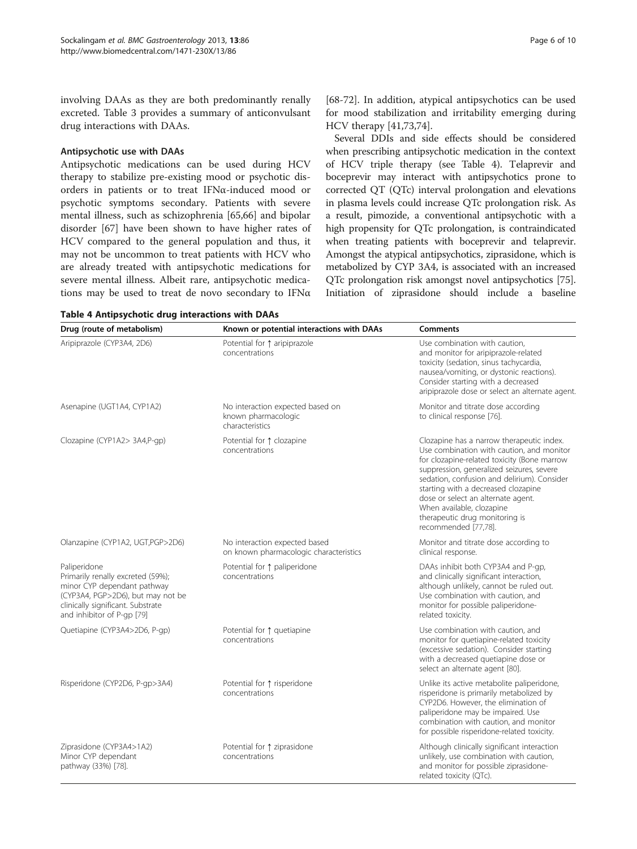involving DAAs as they are both predominantly renally excreted. Table [3](#page-4-0) provides a summary of anticonvulsant drug interactions with DAAs.

#### Antipsychotic use with DAAs

Antipsychotic medications can be used during HCV therapy to stabilize pre-existing mood or psychotic disorders in patients or to treat IFNα-induced mood or psychotic symptoms secondary. Patients with severe mental illness, such as schizophrenia [\[65,66](#page-8-0)] and bipolar disorder [[67\]](#page-8-0) have been shown to have higher rates of HCV compared to the general population and thus, it may not be uncommon to treat patients with HCV who are already treated with antipsychotic medications for severe mental illness. Albeit rare, antipsychotic medications may be used to treat de novo secondary to IFNα

[[68-](#page-8-0)[72](#page-9-0)]. In addition, atypical antipsychotics can be used for mood stabilization and irritability emerging during HCV therapy [[41](#page-8-0),[73](#page-9-0),[74](#page-9-0)].

Several DDIs and side effects should be considered when prescribing antipsychotic medication in the context of HCV triple therapy (see Table 4). Telaprevir and boceprevir may interact with antipsychotics prone to corrected QT (QTc) interval prolongation and elevations in plasma levels could increase QTc prolongation risk. As a result, pimozide, a conventional antipsychotic with a high propensity for QTc prolongation, is contraindicated when treating patients with boceprevir and telaprevir. Amongst the atypical antipsychotics, ziprasidone, which is metabolized by CYP 3A4, is associated with an increased QTc prolongation risk amongst novel antipsychotics [[75](#page-9-0)]. Initiation of ziprasidone should include a baseline

| Table 4 Antipsychotic drug interactions with DAAs                                                                                                                                                                                          |                                                                            |                                                                                                                                                                                                                                                                                                                                                                                                       |  |
|--------------------------------------------------------------------------------------------------------------------------------------------------------------------------------------------------------------------------------------------|----------------------------------------------------------------------------|-------------------------------------------------------------------------------------------------------------------------------------------------------------------------------------------------------------------------------------------------------------------------------------------------------------------------------------------------------------------------------------------------------|--|
| Drug (route of metabolism)                                                                                                                                                                                                                 | Known or potential interactions with DAAs                                  | <b>Comments</b>                                                                                                                                                                                                                                                                                                                                                                                       |  |
| Aripiprazole (CYP3A4, 2D6)                                                                                                                                                                                                                 | Potential for $\uparrow$ aripiprazole<br>concentrations                    | Use combination with caution,<br>and monitor for aripiprazole-related<br>toxicity (sedation, sinus tachycardia,<br>nausea/vomiting, or dystonic reactions).<br>Consider starting with a decreased<br>aripiprazole dose or select an alternate agent.                                                                                                                                                  |  |
| Asenapine (UGT1A4, CYP1A2)                                                                                                                                                                                                                 | No interaction expected based on<br>known pharmacologic<br>characteristics | Monitor and titrate dose according<br>to clinical response [76].                                                                                                                                                                                                                                                                                                                                      |  |
| Clozapine (CYP1A2> 3A4,P-gp)                                                                                                                                                                                                               | Potential for ↑ clozapine<br>concentrations                                | Clozapine has a narrow therapeutic index.<br>Use combination with caution, and monitor<br>for clozapine-related toxicity (Bone marrow<br>suppression, generalized seizures, severe<br>sedation, confusion and delirium). Consider<br>starting with a decreased clozapine<br>dose or select an alternate agent.<br>When available, clozapine<br>therapeutic drug monitoring is<br>recommended [77,78]. |  |
| Olanzapine (CYP1A2, UGT,PGP>2D6)                                                                                                                                                                                                           | No interaction expected based<br>on known pharmacologic characteristics    | Monitor and titrate dose according to<br>clinical response.                                                                                                                                                                                                                                                                                                                                           |  |
| Paliperidone<br>Potential for ↑ paliperidone<br>Primarily renally excreted (59%);<br>concentrations<br>minor CYP dependant pathway<br>(CYP3A4, PGP>2D6), but may not be<br>clinically significant. Substrate<br>and inhibitor of P-qp [79] |                                                                            | DAAs inhibit both CYP3A4 and P-qp,<br>and clinically significant interaction,<br>although unlikely, cannot be ruled out.<br>Use combination with caution, and<br>monitor for possible paliperidone-<br>related toxicity.                                                                                                                                                                              |  |
| Quetiapine (CYP3A4>2D6, P-qp)                                                                                                                                                                                                              | Potential for ↑ quetiapine<br>concentrations                               | Use combination with caution, and<br>monitor for quetiapine-related toxicity<br>(excessive sedation). Consider starting<br>with a decreased quetiapine dose or<br>select an alternate agent [80].                                                                                                                                                                                                     |  |
| Risperidone (CYP2D6, P-qp>3A4)                                                                                                                                                                                                             | Potential for 1 risperidone<br>concentrations                              | Unlike its active metabolite paliperidone,<br>risperidone is primarily metabolized by<br>CYP2D6. However, the elimination of<br>paliperidone may be impaired. Use<br>combination with caution, and monitor<br>for possible risperidone-related toxicity.                                                                                                                                              |  |
| Ziprasidone (CYP3A4>1A2)<br>Minor CYP dependant<br>pathway (33%) [78].                                                                                                                                                                     | Potential for 1 ziprasidone<br>concentrations                              | Although clinically significant interaction<br>unlikely, use combination with caution,<br>and monitor for possible ziprasidone-<br>related toxicity (QTc).                                                                                                                                                                                                                                            |  |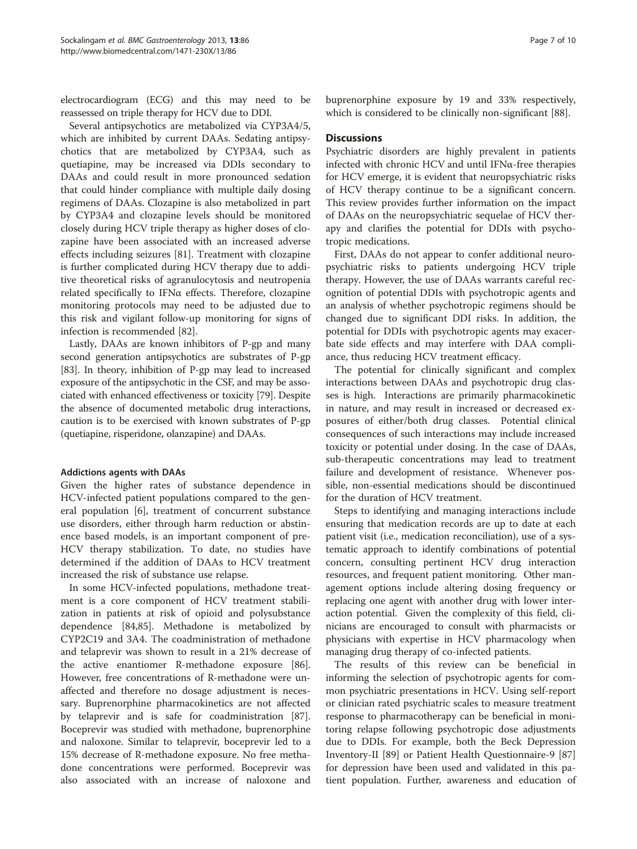electrocardiogram (ECG) and this may need to be reassessed on triple therapy for HCV due to DDI.

Several antipsychotics are metabolized via CYP3A4/5, which are inhibited by current DAAs. Sedating antipsychotics that are metabolized by CYP3A4, such as quetiapine, may be increased via DDIs secondary to DAAs and could result in more pronounced sedation that could hinder compliance with multiple daily dosing regimens of DAAs. Clozapine is also metabolized in part by CYP3A4 and clozapine levels should be monitored closely during HCV triple therapy as higher doses of clozapine have been associated with an increased adverse effects including seizures [[81\]](#page-9-0). Treatment with clozapine is further complicated during HCV therapy due to additive theoretical risks of agranulocytosis and neutropenia related specifically to IFNα effects. Therefore, clozapine monitoring protocols may need to be adjusted due to this risk and vigilant follow-up monitoring for signs of infection is recommended [[82\]](#page-9-0).

Lastly, DAAs are known inhibitors of P-gp and many second generation antipsychotics are substrates of P-gp [[83](#page-9-0)]. In theory, inhibition of P-gp may lead to increased exposure of the antipsychotic in the CSF, and may be associated with enhanced effectiveness or toxicity [\[79\]](#page-9-0). Despite the absence of documented metabolic drug interactions, caution is to be exercised with known substrates of P-gp (quetiapine, risperidone, olanzapine) and DAAs.

#### Addictions agents with DAAs

Given the higher rates of substance dependence in HCV-infected patient populations compared to the general population [\[6](#page-7-0)], treatment of concurrent substance use disorders, either through harm reduction or abstinence based models, is an important component of pre-HCV therapy stabilization. To date, no studies have determined if the addition of DAAs to HCV treatment increased the risk of substance use relapse.

In some HCV-infected populations, methadone treatment is a core component of HCV treatment stabilization in patients at risk of opioid and polysubstance dependence [\[84,85\]](#page-9-0). Methadone is metabolized by CYP2C19 and 3A4. The coadministration of methadone and telaprevir was shown to result in a 21% decrease of the active enantiomer R-methadone exposure [\[86](#page-9-0)]. However, free concentrations of R-methadone were unaffected and therefore no dosage adjustment is necessary. Buprenorphine pharmacokinetics are not affected by telaprevir and is safe for coadministration [\[87](#page-9-0)]. Boceprevir was studied with methadone, buprenorphine and naloxone. Similar to telaprevir, boceprevir led to a 15% decrease of R-methadone exposure. No free methadone concentrations were performed. Boceprevir was also associated with an increase of naloxone and

buprenorphine exposure by 19 and 33% respectively, which is considered to be clinically non-significant [\[88](#page-9-0)].

### **Discussions**

Psychiatric disorders are highly prevalent in patients infected with chronic HCV and until IFNα-free therapies for HCV emerge, it is evident that neuropsychiatric risks of HCV therapy continue to be a significant concern. This review provides further information on the impact of DAAs on the neuropsychiatric sequelae of HCV therapy and clarifies the potential for DDIs with psychotropic medications.

First, DAAs do not appear to confer additional neuropsychiatric risks to patients undergoing HCV triple therapy. However, the use of DAAs warrants careful recognition of potential DDIs with psychotropic agents and an analysis of whether psychotropic regimens should be changed due to significant DDI risks. In addition, the potential for DDIs with psychotropic agents may exacerbate side effects and may interfere with DAA compliance, thus reducing HCV treatment efficacy.

The potential for clinically significant and complex interactions between DAAs and psychotropic drug classes is high. Interactions are primarily pharmacokinetic in nature, and may result in increased or decreased exposures of either/both drug classes. Potential clinical consequences of such interactions may include increased toxicity or potential under dosing. In the case of DAAs, sub-therapeutic concentrations may lead to treatment failure and development of resistance. Whenever possible, non-essential medications should be discontinued for the duration of HCV treatment.

Steps to identifying and managing interactions include ensuring that medication records are up to date at each patient visit (i.e., medication reconciliation), use of a systematic approach to identify combinations of potential concern, consulting pertinent HCV drug interaction resources, and frequent patient monitoring. Other management options include altering dosing frequency or replacing one agent with another drug with lower interaction potential. Given the complexity of this field, clinicians are encouraged to consult with pharmacists or physicians with expertise in HCV pharmacology when managing drug therapy of co-infected patients.

The results of this review can be beneficial in informing the selection of psychotropic agents for common psychiatric presentations in HCV. Using self-report or clinician rated psychiatric scales to measure treatment response to pharmacotherapy can be beneficial in monitoring relapse following psychotropic dose adjustments due to DDIs. For example, both the Beck Depression Inventory-II [[89\]](#page-9-0) or Patient Health Questionnaire-9 [[87](#page-9-0)] for depression have been used and validated in this patient population. Further, awareness and education of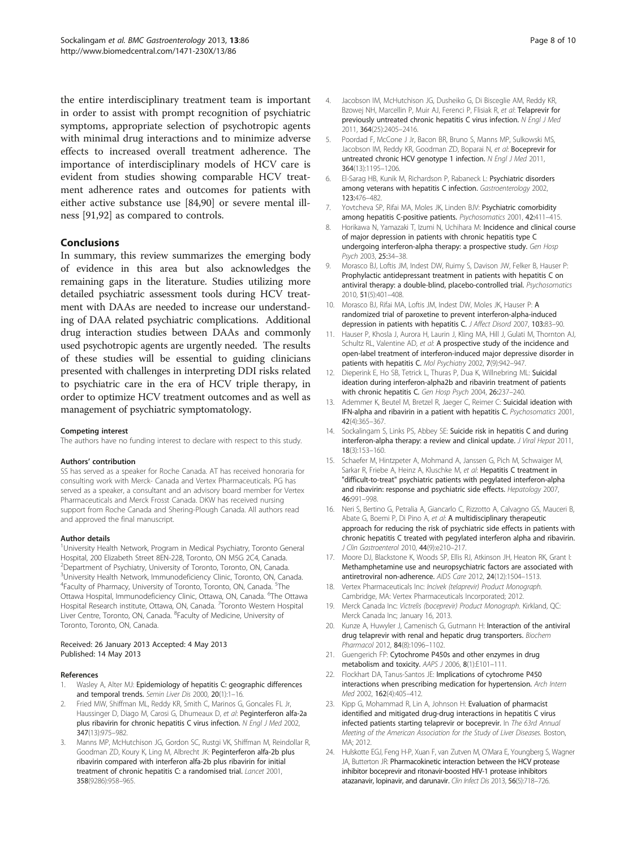<span id="page-7-0"></span>the entire interdisciplinary treatment team is important in order to assist with prompt recognition of psychiatric symptoms, appropriate selection of psychotropic agents with minimal drug interactions and to minimize adverse effects to increased overall treatment adherence. The importance of interdisciplinary models of HCV care is evident from studies showing comparable HCV treatment adherence rates and outcomes for patients with either active substance use [\[84,90\]](#page-9-0) or severe mental illness [\[91,92\]](#page-9-0) as compared to controls.

#### **Conclusions**

In summary, this review summarizes the emerging body of evidence in this area but also acknowledges the remaining gaps in the literature. Studies utilizing more detailed psychiatric assessment tools during HCV treatment with DAAs are needed to increase our understanding of DAA related psychiatric complications. Additional drug interaction studies between DAAs and commonly used psychotropic agents are urgently needed. The results of these studies will be essential to guiding clinicians presented with challenges in interpreting DDI risks related to psychiatric care in the era of HCV triple therapy, in order to optimize HCV treatment outcomes and as well as management of psychiatric symptomatology.

#### Competing interest

The authors have no funding interest to declare with respect to this study.

#### Authors' contribution

SS has served as a speaker for Roche Canada. AT has received honoraria for consulting work with Merck- Canada and Vertex Pharmaceuticals. PG has served as a speaker, a consultant and an advisory board member for Vertex Pharmaceuticals and Merck Frosst Canada. DKW has received nursing support from Roche Canada and Shering-Plough Canada. All authors read and approved the final manuscript.

#### Author details

<sup>1</sup>University Health Network, Program in Medical Psychiatry, Toronto General Hospital, 200 Elizabeth Street 8EN-228, Toronto, ON M5G 2C4, Canada. <sup>2</sup> Department of Psychiatry, University of Toronto, Toronto, ON, Canada. <sup>3</sup>University Health Network, Immunodeficiency Clinic, Toronto, ON, Canada. <sup>4</sup> Faculty of Pharmacy, University of Toronto, Toronto, ON, Canada. <sup>5</sup> The Ottawa Hospital, Immunodeficiency Clinic, Ottawa, ON, Canada. <sup>6</sup>The Ottawa Hospital Research institute, Ottawa, ON, Canada. <sup>7</sup>Toronto Western Hospital Liver Centre, Toronto, ON, Canada. <sup>8</sup>Faculty of Medicine, University of Toronto, Toronto, ON, Canada.

#### Received: 26 January 2013 Accepted: 4 May 2013 Published: 14 May 2013

#### References

- 1. Wasley A, Alter MJ: Epidemiology of hepatitis C: geographic differences and temporal trends. Semin Liver Dis 2000, 20(1):1–16.
- 2. Fried MW, Shiffman ML, Reddy KR, Smith C, Marinos G, Goncales FL Jr, Haussinger D, Diago M, Carosi G, Dhumeaux D, et al: Peginterferon alfa-2a plus ribavirin for chronic hepatitis C virus infection. N Engl J Med 2002, 347(13):975–982.
- 3. Manns MP, McHutchison JG, Gordon SC, Rustgi VK, Shiffman M, Reindollar R, Goodman ZD, Koury K, Ling M, Albrecht JK: Peginterferon alfa-2b plus ribavirin compared with interferon alfa-2b plus ribavirin for initial treatment of chronic hepatitis C: a randomised trial. Lancet 2001, 358(9286):958–965.
- 4. Jacobson IM, McHutchison JG, Dusheiko G, Di Bisceglie AM, Reddy KR, Bzowej NH, Marcellin P, Muir AJ, Ferenci P, Flisiak R, et al: Telaprevir for previously untreated chronic hepatitis C virus infection. N Engl J Med 2011, 364(25):2405–2416.
- 5. Poordad F, McCone J Jr, Bacon BR, Bruno S, Manns MP, Sulkowski MS, Jacobson IM, Reddy KR, Goodman ZD, Boparai N, et al: Boceprevir for untreated chronic HCV genotype 1 infection. N Engl J Med 2011, 364(13):1195–1206.
- 6. El-Sarag HB, Kunik M, Richardson P, Rabaneck L: Psychiatric disorders among veterans with hepatitis C infection. Gastroenterology 2002, 123:476–482.
- 7. Yovtcheva SP, Rifai MA, Moles JK, Linden BJV: Psychiatric comorbidity among hepatitis C-positive patients. Psychosomatics 2001, 42:411-415.
- 8. Horikawa N, Yamazaki T, Izumi N, Uchihara M: Incidence and clinical course of major depression in patients with chronic hepatitis type C undergoing interferon-alpha therapy: a prospective study. Gen Hosp Psych 2003, 25:34–38.
- 9. Morasco BJ, Loftis JM, Indest DW, Ruimy S, Davison JW, Felker B, Hauser P: Prophylactic antidepressant treatment in patients with hepatitis C on antiviral therapy: a double-blind, placebo-controlled trial. Psychosomatics 2010, 51(5):401–408.
- 10. Morasco BJ, Rifai MA, Loftis JM, Indest DW, Moles JK, Hauser P: A randomized trial of paroxetine to prevent interferon-alpha-induced depression in patients with hepatitis C. J Affect Disord 2007, 103:83-90.
- 11. Hauser P, Khosla J, Aurora H, Laurin J, Kling MA, Hill J, Gulati M, Thornton AJ, Schultz RL, Valentine AD, et al: A prospective study of the incidence and open-label treatment of interferon-induced major depressive disorder in patients with hepatitis C. Mol Psychiatry 2002, 7(9):942–947.
- 12. Dieperink E, Ho SB, Tetrick L, Thuras P, Dua K, Willnebring ML: Suicidal ideation during interferon-alpha2b and ribavirin treatment of patients with chronic hepatitis C. Gen Hosp Psych 2004, 26:237–240.
- 13. Ademmer K, Beutel M, Bretzel R, Jaeger C, Reimer C: Suicidal ideation with IFN-alpha and ribavirin in a patient with hepatitis C. Psychosomatics 2001, 42(4):365–367.
- 14. Sockalingam S, Links PS, Abbey SE: Suicide risk in hepatitis C and during interferon-alpha therapy: a review and clinical update. J Viral Hepat 2011, 18(3):153–160.
- 15. Schaefer M, Hintzpeter A, Mohmand A, Janssen G, Pich M, Schwaiger M, Sarkar R, Friebe A, Heinz A, Kluschke M, et al: Hepatitis C treatment in "difficult-to-treat" psychiatric patients with pegylated interferon-alpha and ribavirin: response and psychiatric side effects. Hepatology 2007, 46:991–998.
- 16. Neri S, Bertino G, Petralia A, Giancarlo C, Rizzotto A, Calvagno GS, Mauceri B, Abate G, Boemi P, Di Pino A, et al: A multidisciplinary therapeutic approach for reducing the risk of psychiatric side effects in patients with chronic hepatitis C treated with pegylated interferon alpha and ribavirin. J Clin Gastroenterol 2010, 44(9):e210–217.
- 17. Moore DJ, Blackstone K, Woods SP, Ellis RJ, Atkinson JH, Heaton RK, Grant I: Methamphetamine use and neuropsychiatric factors are associated with antiretroviral non-adherence. AIDS Care 2012, 24(12):1504–1513.
- 18. Vertex Pharmaceuticals Inc: Incivek (telaprevir) Product Monograph. Cambridge, MA: Vertex Pharmaceuticals Incorporated; 2012.
- 19. Merck Canada Inc: Victrelis (boceprevir) Product Monograph. Kirkland, QC: Merck Canada Inc; January 16, 2013.
- 20. Kunze A, Huwyler J, Camenisch G, Gutmann H: Interaction of the antiviral drug telaprevir with renal and hepatic drug transporters. Biochem Pharmacol 2012, 84(8):1096-1102.
- 21. Guengerich FP: Cytochrome P450s and other enzymes in drug metabolism and toxicity. AAPS J 2006, 8(1):E101-111.
- 22. Flockhart DA, Tanus-Santos JE: Implications of cytochrome P450 interactions when prescribing medication for hypertension. Arch Intern Med 2002, 162(4):405–412.
- 23. Kipp G, Mohammad R, Lin A, Johnson H: Evaluation of pharmacist identified and mitigated drug-drug interactions in hepatitis C virus infected patients starting telaprevir or boceprevir. In The 63rd Annual Meeting of the American Association for the Study of Liver Diseases. Boston, MA; 2012.
- 24. Hulskotte EGJ, Feng H-P, Xuan F, van Zutven M, O'Mara E, Youngberg S, Wagner JA, Butterton JR: Pharmacokinetic interaction between the HCV protease inhibitor boceprevir and ritonavir-boosted HIV-1 protease inhibitors atazanavir, lopinavir, and darunavir. Clin Infect Dis 2013, 56(5):718–726.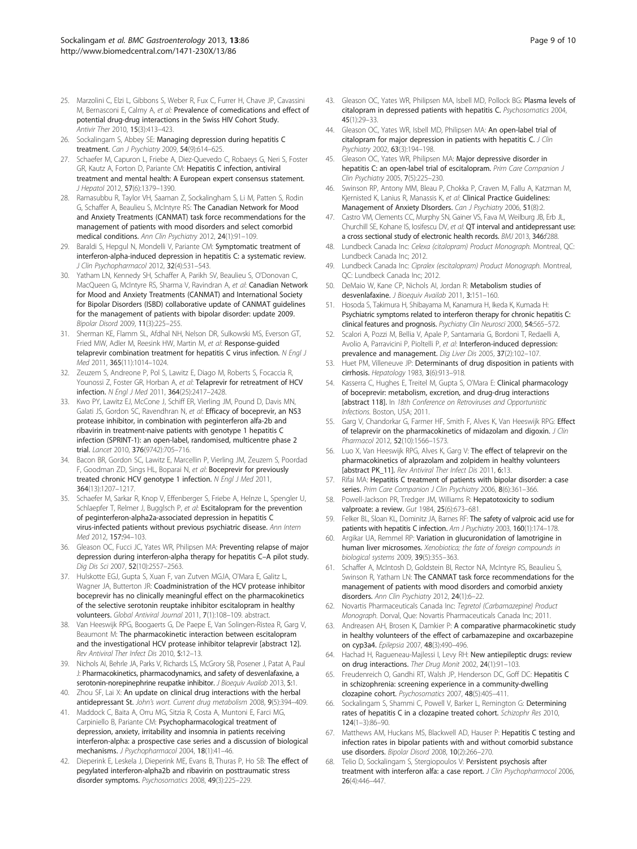- <span id="page-8-0"></span>25. Marzolini C, Elzi L, Gibbons S, Weber R, Fux C, Furrer H, Chave JP, Cavassini M, Bernasconi E, Calmy A, et al: Prevalence of comedications and effect of potential drug-drug interactions in the Swiss HIV Cohort Study. Antivir Ther 2010, 15(3):413–423.
- 26. Sockalingam S, Abbey SE: Managing depression during hepatitis C treatment. Can J Psychiatry 2009, 54(9):614-625.
- 27. Schaefer M, Capuron L, Friebe A, Diez-Quevedo C, Robaeys G, Neri S, Foster GR, Kautz A, Forton D, Pariante CM: Hepatitis C infection, antiviral treatment and mental health: A European expert consensus statement. J Hepatol 2012, 57(6):1379–1390.
- 28. Ramasubbu R, Taylor VH, Saaman Z, Sockalingham S, Li M, Patten S, Rodin G, Schaffer A, Beaulieu S, McIntyre RS: The Canadian Network for Mood and Anxiety Treatments (CANMAT) task force recommendations for the management of patients with mood disorders and select comorbid medical conditions. Ann Clin Psychiatry 2012, 24(1):91–109.
- 29. Baraldi S, Hepgul N, Mondelli V, Pariante CM: Symptomatic treatment of interferon-alpha-induced depression in hepatitis C: a systematic review. J Clin Psychopharmacol 2012, 32(4):531-543.
- 30. Yatham LN, Kennedy SH, Schaffer A, Parikh SV, Beaulieu S, O'Donovan C, MacQueen G, McIntyre RS, Sharma V, Ravindran A, et al: Canadian Network for Mood and Anxiety Treatments (CANMAT) and International Society for Bipolar Disorders (ISBD) collaborative update of CANMAT guidelines for the management of patients with bipolar disorder: update 2009. Bipolar Disord 2009, 11(3):225–255.
- 31. Sherman KE, Flamm SL, Afdhal NH, Nelson DR, Sulkowski MS, Everson GT, Fried MW, Adler M, Reesink HW, Martin M, et al: Response-guided telaprevir combination treatment for hepatitis C virus infection. N Engl J Med 2011, 365(11):1014–1024.
- 32. Zeuzem S, Andreone P, Pol S, Lawitz E, Diago M, Roberts S, Focaccia R, Younossi Z, Foster GR, Horban A, et al: Telaprevir for retreatment of HCV infection. N Engl J Med 2011, 364(25):2417–2428.
- 33. Kwo PY, Lawitz EJ, McCone J, Schiff ER, Vierling JM, Pound D, Davis MN, Galati JS, Gordon SC, Ravendhran N, et al: Efficacy of boceprevir, an NS3 protease inhibitor, in combination with peginterferon alfa-2b and ribavirin in treatment-naive patients with genotype 1 hepatitis C infection (SPRINT-1): an open-label, randomised, multicentre phase 2 trial. Lancet 2010, 376(9742):705–716.
- 34. Bacon BR, Gordon SC, Lawitz E, Marcellin P, Vierling JM, Zeuzem S, Poordad F, Goodman ZD, Sings HL, Boparai N, et al: Boceprevir for previously treated chronic HCV genotype 1 infection. N Engl J Med 2011, 364(13):1207–1217.
- 35. Schaefer M, Sarkar R, Knop V, Effenberger S, Friebe A, Helnze L, Spengler U, Schlaepfer T, Relmer J, Bugglsch P, et al: Escitalopram for the prevention of peginterferon-alpha2a-associated depression in hepatitis C virus-infected patients without previous psychiatric disease. Ann Intern Med 2012, 157:94–103.
- 36. Gleason OC, Fucci JC, Yates WR, Philipsen MA: Preventing relapse of major depression during interferon-alpha therapy for hepatitis C–A pilot study. Dig Dis Sci 2007, 52(10):2557–2563.
- 37. Hulskotte EGJ, Gupta S, Xuan F, van Zutven MGJA, O'Mara E, Galitz L, Wagner JA, Butterton JR: Coadministration of the HCV protease inhibitor boceprevir has no clinically meaningful effect on the pharmacokinetics of the selective serotonin reuptake inhibitor escitalopram in healthy volunteers. Global Antiviral Journal 2011, 7(1):108–109. abstract.
- 38. Van Heeswijk RPG, Boogaerts G, De Paepe E, Van Solingen-Ristea R, Garg V, Beaumont M: The pharmacokinetic interaction between escitalopram and the investigational HCV protease inhibitor telaprevir [abstract 12]. Rev Antiviral Ther Infect Dis 2010, 5:12–13.
- 39. Nichols AI, Behrle JA, Parks V, Richards LS, McGrory SB, Posener J, Patat A, Paul J: Pharmacokinetics, pharmacodynamics, and safety of desvenlafaxine, a serotonin-norepinephrine reupatke inhibitor. J Bioequiv Availab 2013, 5:1.
- 40. Zhou SF, Lai X: An update on clinical drug interactions with the herbal antidepressant St. John's wort. Current drug metabolism 2008, 9(5):394–409.
- 41. Maddock C, Baita A, Orru MG, Sitzia R, Costa A, Muntoni E, Farci MG, Carpiniello B, Pariante CM: Psychopharmacological treatment of depression, anxiety, irritability and insomnia in patients receiving interferon-alpha: a prospective case series and a discussion of biological mechanisms. J Psychopharmacol 2004, 18(1):41–46.
- 42. Dieperink E, Leskela J, Dieperink ME, Evans B, Thuras P, Ho SB: The effect of pegylated interferon-alpha2b and ribavirin on posttraumatic stress disorder symptoms. Psychosomatics 2008, 49(3):225–229.
- 43. Gleason OC, Yates WR, Philipsen MA, Isbell MD, Pollock BG: Plasma levels of citalopram in depressed patients with hepatitis C. Psychosomatics 2004,  $45(1):29-33$
- 44. Gleason OC, Yates WR, Isbell MD, Philipsen MA: An open-label trial of citalopram for major depression in patients with hepatitis C. J Clin Psychiatry 2002, 63(3):194–198.
- 45. Gleason OC, Yates WR, Philipsen MA: Major depressive disorder in hepatitis C: an open-label trial of escitalopram. Prim Care Companion J Clin Psychiatry 2005, 7(5):225–230.
- 46. Swinson RP, Antony MM, Bleau P, Chokka P, Craven M, Fallu A, Katzman M, Kjernisted K, Lanius R, Manassis K, et al: Clinical Practice Guidelines: Management of Anxiety DIsorders. Can J Psychiatry 2006, 51(8):2.
- 47. Castro VM, Clements CC, Murphy SN, Gainer VS, Fava M, Weilburg JB, Erb JL, Churchill SE, Kohane IS, Iosifescu DV, et al: **OT interval and antidepressant use:** a cross sectional study of electronic health records. BMJ 2013, 346:f288.
- 48. Lundbeck Canada Inc: Celexa (citalopram) Product Monograph. Montreal, QC: Lundbeck Canada Inc; 2012.
- 49. Lundbeck Canada Inc: Cipralex (escitalopram) Product Monograph. Montreal, QC: Lundbeck Canada Inc; 2012.
- 50. DeMaio W, Kane CP, Nichols AI, Jordan R: Metabolism studies of desvenlafaxine. J Bioequiv Availab 2011, 3:151-160.
- 51. Hosoda S, Takimura H, Shibayama M, Kanamura H, Ikeda K, Kumada H: Psychiatric symptoms related to interferon therapy for chronic hepatitis C: clinical features and prognosis. Psychiatry Clin Neurosci 2000, 54:565-572.
- 52. Scalori A, Pozzi M, Bellia V, Apale P, Santamaria G, Bordoni T, Redaelli A, Avolio A, Parravicini P, Pioltelli P, et al: Interferon-induced depression: prevalence and management. Dig Liver Dis 2005, 37(2):102–107.
- 53. Huet PM, Villeneuve JP: Determinants of drug disposition in patients with cirrhosis. Hepatology 1983, 3(6):913–918.
- 54. Kasserra C, Hughes E, Treitel M, Gupta S, O'Mara E: Clinical pharmacology of boceprevir: metabolism, excretion, and drug-drug interactions [abstract 118]. In 18th Conference on Retroviruses and Opportunistic Infections. Boston, USA; 2011.
- 55. Garg V, Chandorkar G, Farmer HF, Smith F, Alves K, Van Heeswijk RPG: Effect of telaprevir on the pharmacokinetics of midazolam and digoxin. J Clin Pharmacol 2012, 52(10):1566-1573.
- 56. Luo X, Van Heeswijk RPG, Alves K, Garg V: The effect of telaprevir on the pharmacokinetics of alprazolam and zolpidem in healthy volunteers [abstract PK\_11]. Rev Antiviral Ther Infect Dis 2011, 6:13.
- 57. Rifai MA: Hepatitis C treatment of patients with bipolar disorder: a case series. Prim Care Companion J Clin Psychiatry 2006, 8(6):361-366.
- 58. Powell-Jackson PR, Tredger JM, Williams R: Hepatotoxicity to sodium valproate: a review. Gut 1984, 25(6):673–681.
- 59. Felker BL, Sloan KL, Dominitz JA, Barnes RF: The safety of valproic acid use for patients with hepatitis C infection. Am J Psychiatry 2003, 160(1):174-178.
- 60. Argikar UA, Remmel RP: Variation in glucuronidation of lamotrigine in human liver microsomes. Xenobiotica; the fate of foreign compounds in biological systems 2009, 39(5):355–363.
- 61. Schaffer A, McIntosh D, Goldstein BI, Rector NA, McIntyre RS, Beaulieu S, Swinson R, Yatham LN: The CANMAT task force recommendations for the management of patients with mood disorders and comorbid anxiety disorders. Ann Clin Psychiatry 2012, 24(1):6-22.
- 62. Novartis Pharmaceuticals Canada Inc: Tegretol (Carbamazepine) Product Monograph. Dorval, Que: Novartis Pharmaceuticals Canada Inc; 2011.
- 63. Andreasen AH, Brosen K, Damkier P: A comparative pharmacokinetic study in healthy volunteers of the effect of carbamazepine and oxcarbazepine on cyp3a4. Epilepsia 2007, 48(3):490–496.
- 64. Hachad H, Ragueneau-Majlessi I, Levy RH: New antiepileptic drugs: review on drug interactions. Ther Drug Monit 2002, 24(1):91–103.
- 65. Freudenreich O, Gandhi RT, Walsh JP, Henderson DC, Goff DC: Hepatitis C in schizophrenia: screening experience in a community-dwelling clozapine cohort. Psychosomatics 2007, 48(5):405–411.
- 66. Sockalingam S, Shammi C, Powell V, Barker L, Remington G: Determining rates of hepatitis C in a clozapine treated cohort. Schizophr Res 2010, 124(1–3):86–90.
- 67. Matthews AM, Huckans MS, Blackwell AD, Hauser P: Hepatitis C testing and infection rates in bipolar patients with and without comorbid substance use disorders. Bipolar Disord 2008, 10(2):266–270.
- 68. Telio D, Sockalingam S, Stergiopoulos V: Persistent psychosis after treatment with interferon alfa: a case report. J Clin Psychopharmocol 2006, 26(4):446–447.